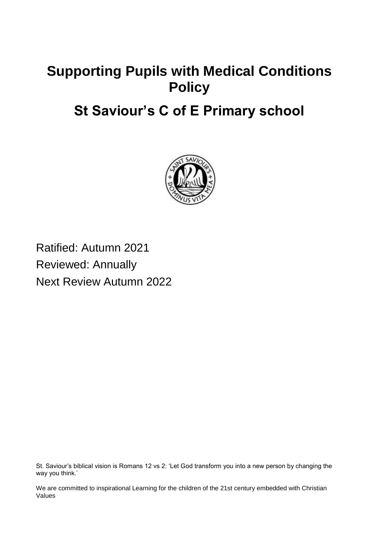# **Supporting Pupils with Medical Conditions Policy**

# **St Saviour's C of E Primary school**



Ratified: Autumn 2021 Reviewed: Annually Next Review Autumn 2022

St. Saviour's biblical vision is Romans 12 vs 2: 'Let God transform you into a new person by changing the way you think.'

We are committed to inspirational Learning for the children of the 21st century embedded with Christian Values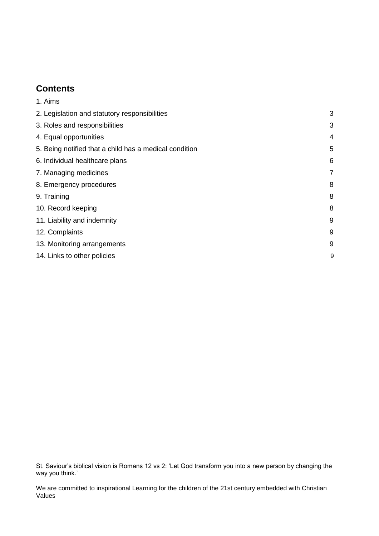#### **Contents**

| 1. Aims                                                |                |
|--------------------------------------------------------|----------------|
| 2. Legislation and statutory responsibilities          | 3              |
| 3. Roles and responsibilities                          | 3              |
| 4. Equal opportunities                                 | 4              |
| 5. Being notified that a child has a medical condition | 5              |
| 6. Individual healthcare plans                         | 6              |
| 7. Managing medicines                                  | $\overline{7}$ |
| 8. Emergency procedures                                | 8              |
| 9. Training                                            | 8              |
| 10. Record keeping                                     | 8              |
| 11. Liability and indemnity                            | 9              |
| 12. Complaints                                         | 9              |
| 13. Monitoring arrangements                            | 9              |
| 14. Links to other policies                            | 9              |
|                                                        |                |

St. Saviour's biblical vision is Romans 12 vs 2: 'Let God transform you into a new person by changing the way you think.'

We are committed to inspirational Learning for the children of the 21st century embedded with Christian Values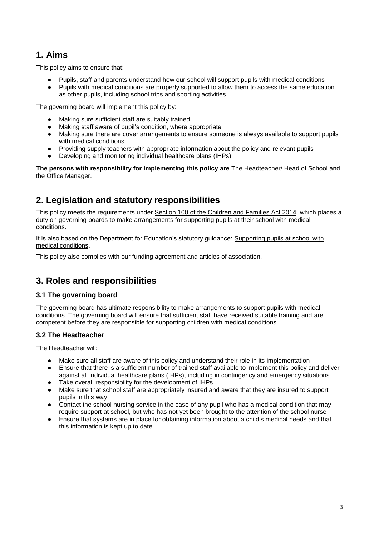### **1. Aims**

This policy aims to ensure that:

- Pupils, staff and parents understand how our school will support pupils with medical conditions
- Pupils with medical conditions are properly supported to allow them to access the same education as other pupils, including school trips and sporting activities

The governing board will implement this policy by:

- Making sure sufficient staff are suitably trained
- Making staff aware of pupil's condition, where appropriate
- Making sure there are cover arrangements to ensure someone is always available to support pupils with medical conditions
- Providing supply teachers with appropriate information about the policy and relevant pupils
- Developing and monitoring individual healthcare plans (IHPs)

**The persons with responsibility for implementing this policy are** The Headteacher/ Head of School and the Office Manager.

### **2. Legislation and statutory responsibilities**

This policy meets the requirements under [Section 100 of the Children and Families Act 2014,](http://www.legislation.gov.uk/ukpga/2014/6/part/5/crossheading/pupils-with-medical-conditions) which places a duty on governing boards to make arrangements for supporting pupils at their school with medical conditions.

It is also based on the Department for Education's statutory guidance: [Supporting pupils at school with](https://www.gov.uk/government/uploads/system/uploads/attachment_data/file/484418/supporting-pupils-at-school-with-medical-conditions.pdf)  [medical conditions.](https://www.gov.uk/government/uploads/system/uploads/attachment_data/file/484418/supporting-pupils-at-school-with-medical-conditions.pdf)

This policy also complies with our funding agreement and articles of association.

### **3. Roles and responsibilities**

#### **3.1 The governing board**

The governing board has ultimate responsibility to make arrangements to support pupils with medical conditions. The governing board will ensure that sufficient staff have received suitable training and are competent before they are responsible for supporting children with medical conditions.

#### **3.2 The Headteacher**

The Headteacher will:

- Make sure all staff are aware of this policy and understand their role in its implementation
- Ensure that there is a sufficient number of trained staff available to implement this policy and deliver against all individual healthcare plans (IHPs), including in contingency and emergency situations
- Take overall responsibility for the development of IHPs
- Make sure that school staff are appropriately insured and aware that they are insured to support pupils in this way
- Contact the school nursing service in the case of any pupil who has a medical condition that may require support at school, but who has not yet been brought to the attention of the school nurse
- Ensure that systems are in place for obtaining information about a child's medical needs and that this information is kept up to date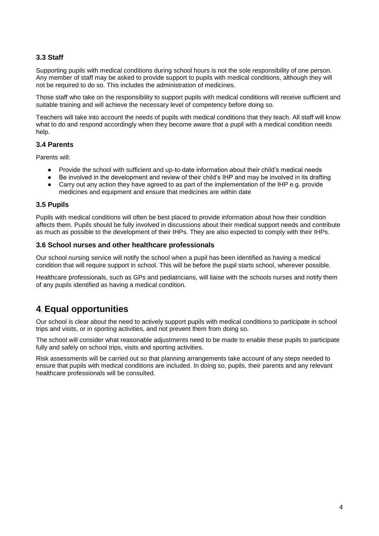#### **3.3 Staff**

Supporting pupils with medical conditions during school hours is not the sole responsibility of one person. Any member of staff may be asked to provide support to pupils with medical conditions, although they will not be required to do so. This includes the administration of medicines.

Those staff who take on the responsibility to support pupils with medical conditions will receive sufficient and suitable training and will achieve the necessary level of competency before doing so.

Teachers will take into account the needs of pupils with medical conditions that they teach. All staff will know what to do and respond accordingly when they become aware that a pupil with a medical condition needs help.

#### **3.4 Parents**

Parents will:

- Provide the school with sufficient and up-to-date information about their child's medical needs
- Be involved in the development and review of their child's IHP and may be involved in its drafting
- Carry out any action they have agreed to as part of the implementation of the IHP e.g. provide medicines and equipment and ensure that medicines are within date

#### **3.5 Pupils**

Pupils with medical conditions will often be best placed to provide information about how their condition affects them. Pupils should be fully involved in discussions about their medical support needs and contribute as much as possible to the development of their IHPs. They are also expected to comply with their IHPs.

#### **3.6 School nurses and other healthcare professionals**

Our school nursing service will notify the school when a pupil has been identified as having a medical condition that will require support in school. This will be before the pupil starts school, wherever possible.

Healthcare professionals, such as GPs and pediatricians, will liaise with the schools nurses and notify them of any pupils identified as having a medical condition.

#### **4**. **Equal opportunities**

Our school is clear about the need to actively support pupils with medical conditions to participate in school trips and visits, or in sporting activities, and not prevent them from doing so.

The school will consider what reasonable adjustments need to be made to enable these pupils to participate fully and safely on school trips, visits and sporting activities.

Risk assessments will be carried out so that planning arrangements take account of any steps needed to ensure that pupils with medical conditions are included. In doing so, pupils, their parents and any relevant healthcare professionals will be consulted.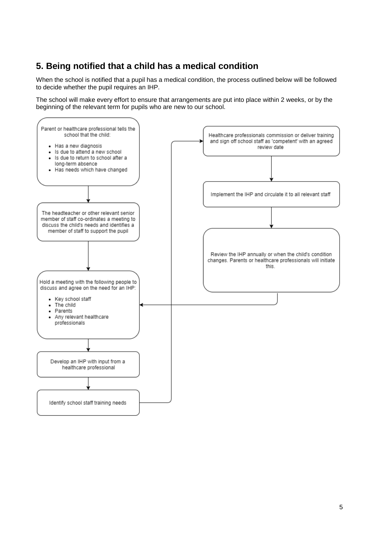### **5. Being notified that a child has a medical condition**

When the school is notified that a pupil has a medical condition, the process outlined below will be followed to decide whether the pupil requires an IHP.

The school will make every effort to ensure that arrangements are put into place within 2 weeks, or by the beginning of the relevant term for pupils who are new to our school.

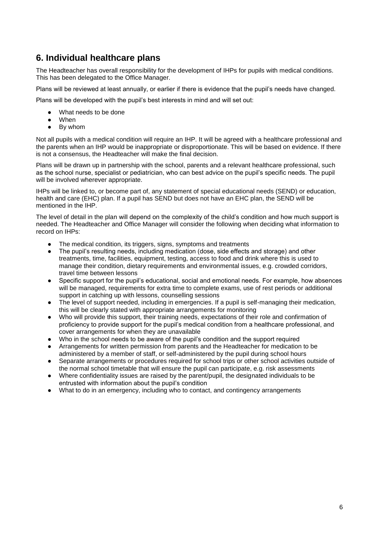### **6. Individual healthcare plans**

The Headteacher has overall responsibility for the development of IHPs for pupils with medical conditions. This has been delegated to the Office Manager.

Plans will be reviewed at least annually, or earlier if there is evidence that the pupil's needs have changed.

Plans will be developed with the pupil's best interests in mind and will set out:

- What needs to be done
- When
- By whom

Not all pupils with a medical condition will require an IHP. It will be agreed with a healthcare professional and the parents when an IHP would be inappropriate or disproportionate. This will be based on evidence. If there is not a consensus, the Headteacher will make the final decision.

Plans will be drawn up in partnership with the school, parents and a relevant healthcare professional, such as the school nurse, specialist or pediatrician, who can best advice on the pupil's specific needs. The pupil will be involved wherever appropriate.

IHPs will be linked to, or become part of, any statement of special educational needs (SEND) or education, health and care (EHC) plan. If a pupil has SEND but does not have an EHC plan, the SEND will be mentioned in the IHP.

The level of detail in the plan will depend on the complexity of the child's condition and how much support is needed. The Headteacher and Office Manager will consider the following when deciding what information to record on IHPs:

- The medical condition, its triggers, signs, symptoms and treatments
- The pupil's resulting needs, including medication (dose, side effects and storage) and other treatments, time, facilities, equipment, testing, access to food and drink where this is used to manage their condition, dietary requirements and environmental issues, e.g. crowded corridors, travel time between lessons
- Specific support for the pupil's educational, social and emotional needs. For example, how absences will be managed, requirements for extra time to complete exams, use of rest periods or additional support in catching up with lessons, counselling sessions
- The level of support needed, including in emergencies. If a pupil is self-managing their medication, this will be clearly stated with appropriate arrangements for monitoring
- Who will provide this support, their training needs, expectations of their role and confirmation of proficiency to provide support for the pupil's medical condition from a healthcare professional, and cover arrangements for when they are unavailable
- Who in the school needs to be aware of the pupil's condition and the support required
- Arrangements for written permission from parents and the Headteacher for medication to be administered by a member of staff, or self-administered by the pupil during school hours
- Separate arrangements or procedures required for school trips or other school activities outside of the normal school timetable that will ensure the pupil can participate, e.g. risk assessments
- Where confidentiality issues are raised by the parent/pupil, the designated individuals to be entrusted with information about the pupil's condition
- What to do in an emergency, including who to contact, and contingency arrangements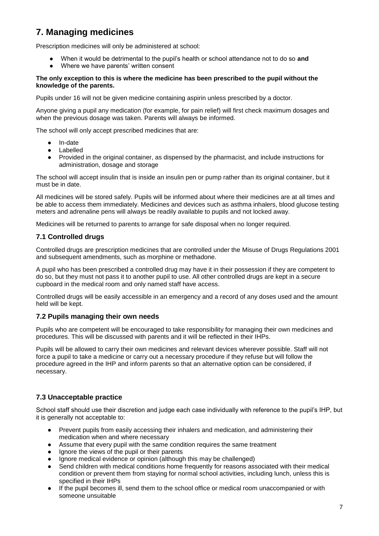## **7. Managing medicines**

Prescription medicines will only be administered at school:

- When it would be detrimental to the pupil's health or school attendance not to do so and
- Where we have parents' written consent

#### **The only exception to this is where the medicine has been prescribed to the pupil without the knowledge of the parents.**

Pupils under 16 will not be given medicine containing aspirin unless prescribed by a doctor.

Anyone giving a pupil any medication (for example, for pain relief) will first check maximum dosages and when the previous dosage was taken. Parents will always be informed.

The school will only accept prescribed medicines that are:

- In-date
- Labelled
- Provided in the original container, as dispensed by the pharmacist, and include instructions for administration, dosage and storage

The school will accept insulin that is inside an insulin pen or pump rather than its original container, but it must be in date.

All medicines will be stored safely. Pupils will be informed about where their medicines are at all times and be able to access them immediately. Medicines and devices such as asthma inhalers, blood glucose testing meters and adrenaline pens will always be readily available to pupils and not locked away.

Medicines will be returned to parents to arrange for safe disposal when no longer required.

#### **7.1 Controlled drugs**

[Controlled drugs](http://www.nhs.uk/chq/Pages/1391.aspx?CategoryID=73) are prescription medicines that are controlled under the [Misuse of Drugs Regulations 2001](http://www.legislation.gov.uk/uksi/2001/3998/schedule/1/made) and subsequent amendments, such as morphine or methadone.

A pupil who has been prescribed a controlled drug may have it in their possession if they are competent to do so, but they must not pass it to another pupil to use. All other controlled drugs are kept in a secure cupboard in the medical room and only named staff have access.

Controlled drugs will be easily accessible in an emergency and a record of any doses used and the amount held will be kept.

#### **7.2 Pupils managing their own needs**

Pupils who are competent will be encouraged to take responsibility for managing their own medicines and procedures. This will be discussed with parents and it will be reflected in their IHPs.

Pupils will be allowed to carry their own medicines and relevant devices wherever possible. Staff will not force a pupil to take a medicine or carry out a necessary procedure if they refuse but will follow the procedure agreed in the IHP and inform parents so that an alternative option can be considered, if necessary.

#### **7.3 Unacceptable practice**

School staff should use their discretion and judge each case individually with reference to the pupil's IHP, but it is generally not acceptable to:

- Prevent pupils from easily accessing their inhalers and medication, and administering their medication when and where necessary
- Assume that every pupil with the same condition requires the same treatment
- Ignore the views of the pupil or their parents
- Ignore medical evidence or opinion (although this may be challenged)
- Send children with medical conditions home frequently for reasons associated with their medical condition or prevent them from staying for normal school activities, including lunch, unless this is specified in their IHPs
- If the pupil becomes ill, send them to the school office or medical room unaccompanied or with someone unsuitable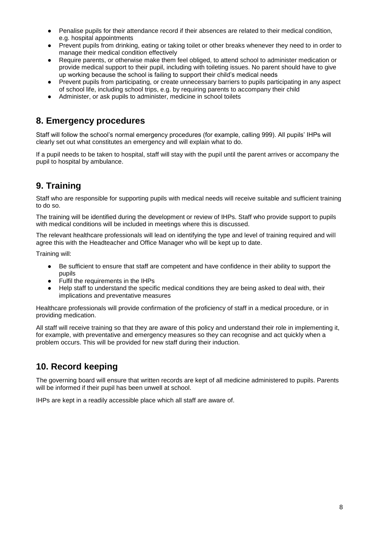- Penalise pupils for their attendance record if their absences are related to their medical condition, e.g. hospital appointments
- Prevent pupils from drinking, eating or taking toilet or other breaks whenever they need to in order to manage their medical condition effectively
- Require parents, or otherwise make them feel obliged, to attend school to administer medication or provide medical support to their pupil, including with toileting issues. No parent should have to give up working because the school is failing to support their child's medical needs
- Prevent pupils from participating, or create unnecessary barriers to pupils participating in any aspect of school life, including school trips, e.g. by requiring parents to accompany their child
- Administer, or ask pupils to administer, medicine in school toilets

#### **8. Emergency procedures**

Staff will follow the school's normal emergency procedures (for example, calling 999). All pupils' IHPs will clearly set out what constitutes an emergency and will explain what to do.

If a pupil needs to be taken to hospital, staff will stay with the pupil until the parent arrives or accompany the pupil to hospital by ambulance.

# **9. Training**

Staff who are responsible for supporting pupils with medical needs will receive suitable and sufficient training to do so.

The training will be identified during the development or review of IHPs. Staff who provide support to pupils with medical conditions will be included in meetings where this is discussed.

The relevant healthcare professionals will lead on identifying the type and level of training required and will agree this with the Headteacher and Office Manager who will be kept up to date.

Training will:

- Be sufficient to ensure that staff are competent and have confidence in their ability to support the pupils
- Fulfil the requirements in the IHPs
- Help staff to understand the specific medical conditions they are being asked to deal with, their implications and preventative measures

Healthcare professionals will provide confirmation of the proficiency of staff in a medical procedure, or in providing medication.

All staff will receive training so that they are aware of this policy and understand their role in implementing it, for example, with preventative and emergency measures so they can recognise and act quickly when a problem occurs. This will be provided for new staff during their induction.

### **10. Record keeping**

The governing board will ensure that written records are kept of all medicine administered to pupils. Parents will be informed if their pupil has been unwell at school.

IHPs are kept in a readily accessible place which all staff are aware of.